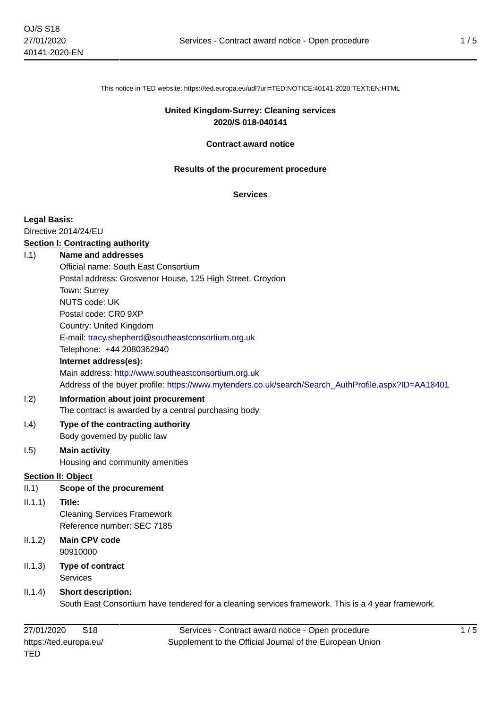This notice in TED website: https://ted.europa.eu/udl?uri=TED:NOTICE:40141-2020:TEXT:EN:HTML

## **United Kingdom-Surrey: Cleaning services 2020/S 018-040141**

#### **Contract award notice**

#### **Results of the procurement procedure**

### **Services**

#### **Legal Basis:**

Directive 2014/24/EU

## **Section I: Contracting authority**

# I.1) **Name and addresses**

|                           | Official name: South East Consortium                                                                |
|---------------------------|-----------------------------------------------------------------------------------------------------|
|                           | Postal address: Grosvenor House, 125 High Street, Croydon                                           |
|                           | Town: Surrey                                                                                        |
|                           | <b>NUTS code: UK</b>                                                                                |
|                           | Postal code: CR0 9XP                                                                                |
|                           | Country: United Kingdom                                                                             |
|                           | E-mail: tracy.shepherd@southeastconsortium.org.uk                                                   |
|                           | Telephone: +44 2080362940                                                                           |
|                           | Internet address(es):                                                                               |
|                           | Main address: http://www.southeastconsortium.org.uk                                                 |
|                           | Address of the buyer profile: https://www.mytenders.co.uk/search/Search_AuthProfile.aspx?ID=AA18401 |
| 1.2)                      | Information about joint procurement                                                                 |
|                           | The contract is awarded by a central purchasing body                                                |
| (0.4)                     | Type of the contracting authority                                                                   |
|                           | Body governed by public law                                                                         |
| I.5)                      | <b>Main activity</b>                                                                                |
|                           | Housing and community amenities                                                                     |
| <b>Section II: Object</b> |                                                                                                     |
| II.1)                     | Scope of the procurement                                                                            |
| 11.1.1)                   | Title:                                                                                              |

#### Sec

 $II.1$ Cleaning Services Framework Reference number: SEC 7185

- II.1.2) **Main CPV code** 90910000
- II.1.3) **Type of contract** Services

## II.1.4) **Short description:**

South East Consortium have tendered for a cleaning services framework. This is a 4 year framework.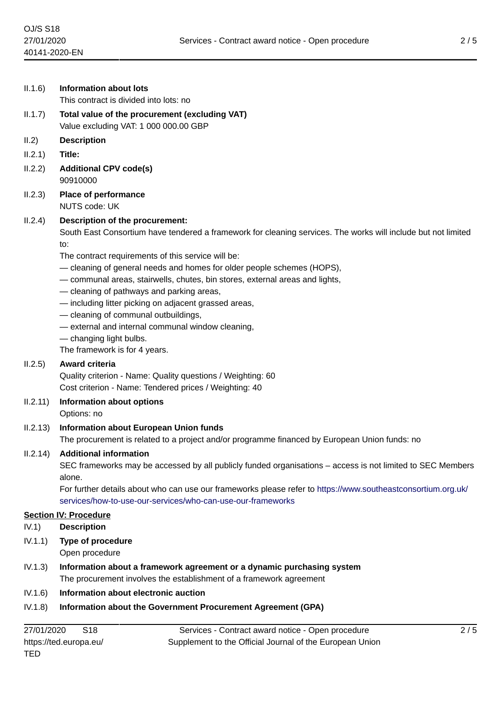| II.1.6)           | <b>Information about lots</b>                                                                                                                                                                                                                                                                                                                                                                                                                                                                                                                                                                                                          |
|-------------------|----------------------------------------------------------------------------------------------------------------------------------------------------------------------------------------------------------------------------------------------------------------------------------------------------------------------------------------------------------------------------------------------------------------------------------------------------------------------------------------------------------------------------------------------------------------------------------------------------------------------------------------|
|                   | This contract is divided into lots: no                                                                                                                                                                                                                                                                                                                                                                                                                                                                                                                                                                                                 |
| II.1.7)           | Total value of the procurement (excluding VAT)<br>Value excluding VAT: 1 000 000.00 GBP                                                                                                                                                                                                                                                                                                                                                                                                                                                                                                                                                |
| II.2)             | <b>Description</b>                                                                                                                                                                                                                                                                                                                                                                                                                                                                                                                                                                                                                     |
| II.2.1)           | Title:                                                                                                                                                                                                                                                                                                                                                                                                                                                                                                                                                                                                                                 |
| II.2.2)           | <b>Additional CPV code(s)</b><br>90910000                                                                                                                                                                                                                                                                                                                                                                                                                                                                                                                                                                                              |
| II.2.3)           | <b>Place of performance</b><br>NUTS code: UK                                                                                                                                                                                                                                                                                                                                                                                                                                                                                                                                                                                           |
| II.2.4)           | Description of the procurement:<br>South East Consortium have tendered a framework for cleaning services. The works will include but not limited<br>to:<br>The contract requirements of this service will be:<br>- cleaning of general needs and homes for older people schemes (HOPS),<br>- communal areas, stairwells, chutes, bin stores, external areas and lights,<br>- cleaning of pathways and parking areas,<br>- including litter picking on adjacent grassed areas,<br>- cleaning of communal outbuildings,<br>- external and internal communal window cleaning,<br>- changing light bulbs.<br>The framework is for 4 years. |
| II.2.5)           | Award criteria<br>Quality criterion - Name: Quality questions / Weighting: 60<br>Cost criterion - Name: Tendered prices / Weighting: 40                                                                                                                                                                                                                                                                                                                                                                                                                                                                                                |
| II.2.11)          | Information about options<br>Options: no                                                                                                                                                                                                                                                                                                                                                                                                                                                                                                                                                                                               |
| II.2.13)          | <b>Information about European Union funds</b><br>The procurement is related to a project and/or programme financed by European Union funds: no                                                                                                                                                                                                                                                                                                                                                                                                                                                                                         |
| II.2.14)          | <b>Additional information</b><br>SEC frameworks may be accessed by all publicly funded organisations – access is not limited to SEC Members<br>alone.<br>For further details about who can use our frameworks please refer to https://www.southeastconsortium.org.uk/<br>services/how-to-use-our-services/who-can-use-our-frameworks                                                                                                                                                                                                                                                                                                   |
|                   | <b>Section IV: Procedure</b>                                                                                                                                                                                                                                                                                                                                                                                                                                                                                                                                                                                                           |
| IV.1)             | <b>Description</b>                                                                                                                                                                                                                                                                                                                                                                                                                                                                                                                                                                                                                     |
| IV.1.1)           | Type of procedure<br>Open procedure                                                                                                                                                                                                                                                                                                                                                                                                                                                                                                                                                                                                    |
| IV.1.3)           | Information about a framework agreement or a dynamic purchasing system<br>The procurement involves the establishment of a framework agreement                                                                                                                                                                                                                                                                                                                                                                                                                                                                                          |
| $11/1$ $\alpha$ ) | Information about algotranic quotion                                                                                                                                                                                                                                                                                                                                                                                                                                                                                                                                                                                                   |

IV.1.6) **Information about electronic auction**

# IV.1.8) **Information about the Government Procurement Agreement (GPA)**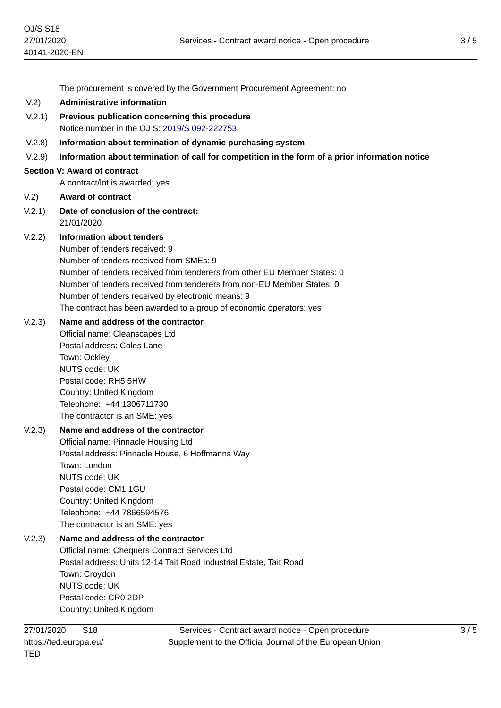The procurement is covered by the Government Procurement Agreement: no

- IV.2) **Administrative information**
- IV.2.1) **Previous publication concerning this procedure** Notice number in the OJ S: [2019/S 092-222753](https://ted.europa.eu/udl?uri=TED:NOTICE:222753-2019:TEXT:EN:HTML)
- IV.2.8) **Information about termination of dynamic purchasing system**
- IV.2.9) **Information about termination of call for competition in the form of a prior information notice**

## **Section V: Award of contract**

A contract/lot is awarded: yes

- V.2) **Award of contract**
- V.2.1) **Date of conclusion of the contract:** 21/01/2020

# V.2.2) **Information about tenders**

Number of tenders received: 9 Number of tenders received from SMEs: 9 Number of tenders received from tenderers from other EU Member States: 0 Number of tenders received from tenderers from non-EU Member States: 0 Number of tenders received by electronic means: 9 The contract has been awarded to a group of economic operators: yes

# V.2.3) **Name and address of the contractor**

Official name: Cleanscapes Ltd Postal address: Coles Lane Town: Ockley NUTS code: UK Postal code: RH5 5HW Country: United Kingdom Telephone: +44 1306711730 The contractor is an SME: yes

# V.2.3) **Name and address of the contractor**

Official name: Pinnacle Housing Ltd Postal address: Pinnacle House, 6 Hoffmanns Way Town: London NUTS code: UK Postal code: CM1 1GU Country: United Kingdom Telephone: +44 7866594576 The contractor is an SME: yes

# V.2.3) **Name and address of the contractor**

Official name: Chequers Contract Services Ltd Postal address: Units 12-14 Tait Road Industrial Estate, Tait Road Town: Croydon NUTS code: UK Postal code: CR0 2DP Country: United Kingdom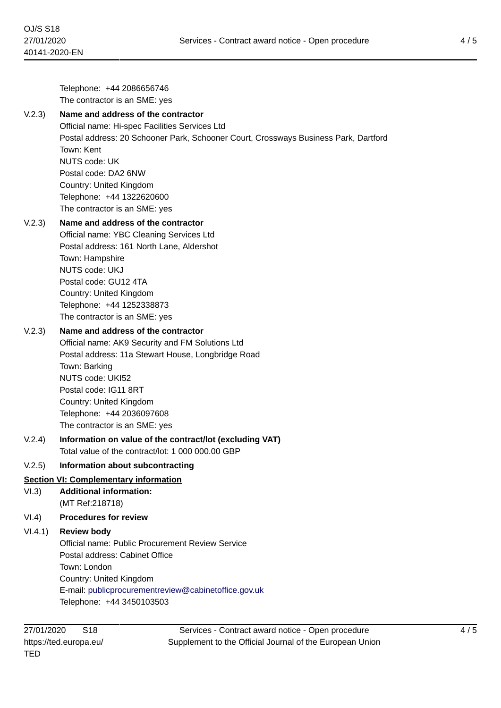Telephone: +44 2086656746 The contractor is an SME: yes V.2.3) **Name and address of the contractor** Official name: Hi-spec Facilities Services Ltd Postal address: 20 Schooner Park, Schooner Court, Crossways Business Park, Dartford Town: Kent NUTS code: UK Postal code: DA2 6NW Country: United Kingdom Telephone: +44 1322620600 The contractor is an SME: yes V.2.3) **Name and address of the contractor** Official name: YBC Cleaning Services Ltd Postal address: 161 North Lane, Aldershot Town: Hampshire NUTS code: UKJ Postal code: GU12 4TA Country: United Kingdom Telephone: +44 1252338873 The contractor is an SME: yes V.2.3) **Name and address of the contractor** Official name: AK9 Security and FM Solutions Ltd Postal address: 11a Stewart House, Longbridge Road Town: Barking NUTS code: UKI52 Postal code: IG11 8RT Country: United Kingdom Telephone: +44 2036097608 The contractor is an SME: yes V.2.4) **Information on value of the contract/lot (excluding VAT)** Total value of the contract/lot: 1 000 000.00 GBP V.2.5) **Information about subcontracting Section VI: Complementary information** VI.3) **Additional information:** (MT Ref:218718) VI.4) **Procedures for review** VI.4.1) **Review body** Official name: Public Procurement Review Service Postal address: Cabinet Office Town: London Country: United Kingdom E-mail: [publicprocurementreview@cabinetoffice.gov.uk](mailto:publicprocurementreview@cabinetoffice.gov.uk) Telephone: +44 3450103503